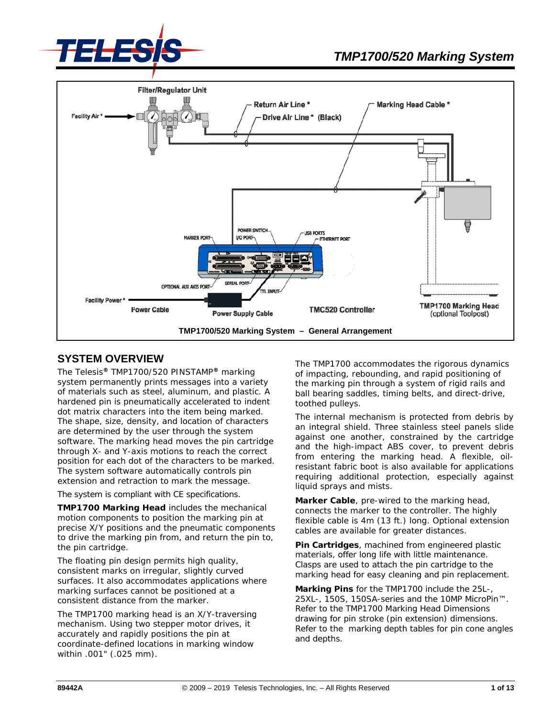



### **SYSTEM OVERVIEW**

The Telesis**®** TMP1700/520 PINSTAMP**®** marking system permanently prints messages into a variety of materials such as steel, aluminum, and plastic. A hardened pin is pneumatically accelerated to indent dot matrix characters into the item being marked. The shape, size, density, and location of characters are determined by the user through the system software. The marking head moves the pin cartridge through X- and Y-axis motions to reach the correct position for each dot of the characters to be marked. The system software automatically controls pin extension and retraction to mark the message.

The system is compliant with CE specifications.

**TMP1700 Marking Head** includes the mechanical motion components to position the marking pin at precise X/Y positions and the pneumatic components to drive the marking pin from, and return the pin to, the pin cartridge.

The floating pin design permits high quality, consistent marks on irregular, slightly curved surfaces. It also accommodates applications where marking surfaces cannot be positioned at a consistent distance from the marker.

The TMP1700 marking head is an X/Y-traversing mechanism. Using two stepper motor drives, it accurately and rapidly positions the pin at coordinate-defined locations in marking window within .001" (.025 mm).

The TMP1700 accommodates the rigorous dynamics of impacting, rebounding, and rapid positioning of the marking pin through a system of rigid rails and ball bearing saddles, timing belts, and direct-drive, toothed pulleys.

The internal mechanism is protected from debris by an integral shield. Three stainless steel panels slide against one another, constrained by the cartridge and the high-impact ABS cover, to prevent debris from entering the marking head. A flexible, oilresistant fabric boot is also available for applications requiring additional protection, especially against liquid sprays and mists.

**Marker Cable**, pre-wired to the marking head, connects the marker to the controller. The highly flexible cable is 4m (13 ft.) long. Optional extension cables are available for greater distances.

**Pin Cartridges**, machined from engineered plastic materials, offer long life with little maintenance. Clasps are used to attach the pin cartridge to the marking head for easy cleaning and pin replacement.

**Marking Pins** for the TMP1700 include the 25L-, 25XL-, 150S, 150SA-series and the 10MP MicroPin™. Refer to the TMP1700 Marking Head Dimensions drawing for pin stroke (pin extension) dimensions. Refer to the marking depth tables for pin cone angles and depths.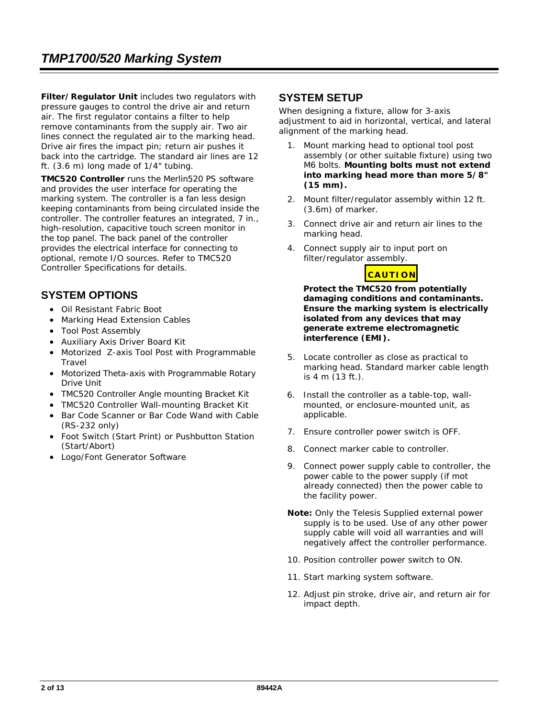**Filter/Regulator Unit** includes two regulators with pressure gauges to control the drive air and return air. The first regulator contains a filter to help remove contaminants from the supply air. Two air lines connect the regulated air to the marking head. Drive air fires the impact pin; return air pushes it back into the cartridge. The standard air lines are 12 ft. (3.6 m) long made of 1/4" tubing.

**TMC520 Controller** runs the Merlin520 PS software and provides the user interface for operating the marking system. The controller is a fan less design keeping contaminants from being circulated inside the controller. The controller features an integrated, 7 in., high-resolution, capacitive touch screen monitor in the top panel. The back panel of the controller provides the electrical interface for connecting to optional, remote I/O sources. Refer to *TMC520 Controller Specifications* for details.

## **SYSTEM OPTIONS**

- Oil Resistant Fabric Boot
- Marking Head Extension Cables
- Tool Post Assembly
- Auxiliary Axis Driver Board Kit
- Motorized Z-axis Tool Post with Programmable **Travel**
- Motorized Theta-axis with Programmable Rotary Drive Unit
- TMC520 Controller Angle mounting Bracket Kit
- TMC520 Controller Wall-mounting Bracket Kit
- Bar Code Scanner or Bar Code Wand with Cable (RS-232 only)
- Foot Switch (Start Print) or Pushbutton Station (Start/Abort)
- Logo/Font Generator Software

### **SYSTEM SETUP**

When designing a fixture, allow for 3-axis adjustment to aid in horizontal, vertical, and lateral alignment of the marking head.

- 1. Mount marking head to optional tool post assembly (or other suitable fixture) using two M6 bolts. **Mounting bolts must not extend into marking head more than more 5/8" (15 mm).**
- 2. Mount filter/regulator assembly within 12 ft. (3.6m) of marker.
- 3. Connect drive air and return air lines to the marking head.
- 4. Connect supply air to input port on filter/regulator assembly.

## **CAUTION**

**Protect the TMC520 from potentially damaging conditions and contaminants. Ensure the marking system is electrically isolated from any devices that may generate extreme electromagnetic interference (EMI).**

- 5. Locate controller as close as practical to marking head. Standard marker cable length is 4 m (13 ft.).
- 6. Install the controller as a table-top, wallmounted, or enclosure-mounted unit, as applicable.
- 7. Ensure controller power switch is OFF.
- 8. Connect marker cable to controller.
- 9. Connect power supply cable to controller, the power cable to the power supply (if mot already connected) then the power cable to the facility power.
- **Note:** Only the Telesis Supplied external power supply is to be used. Use of any other power supply cable will void all warranties and will negatively affect the controller performance.
- 10. Position controller power switch to ON.
- 11. Start marking system software.
- 12. Adjust pin stroke, drive air, and return air for impact depth.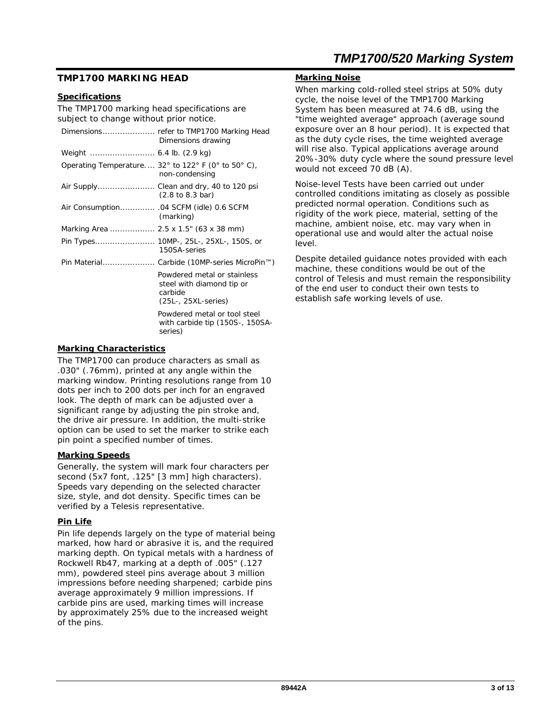#### **TMP1700 MARKING HEAD**

#### **Specifications**

The TMP1700 marking head specifications are subject to change without prior notice.

|                                       | Dimensions drawing                                                                                           |
|---------------------------------------|--------------------------------------------------------------------------------------------------------------|
|                                       |                                                                                                              |
|                                       | Operating Temperature 32 $^{\circ}$ to 122 $^{\circ}$ F (0 $^{\circ}$ to 50 $^{\circ}$ C),<br>non-condensing |
|                                       | Air Supply Clean and dry, 40 to 120 psi<br>$(2.8 \text{ to } 8.3 \text{ bar})$                               |
|                                       | (marking)                                                                                                    |
| Marking Area  2.5 x 1.5" (63 x 38 mm) |                                                                                                              |
|                                       | Pin Types 10MP-, 25L-, 25XL-, 150S, or<br>150SA-series                                                       |
|                                       | Pin Material Carbide (10MP-series MicroPin™)                                                                 |
|                                       | Powdered metal or stainless<br>steel with diamond tip or<br>carbide<br>$(25L-, 25XL$ -series)                |
|                                       | Powdered metal or tool steel<br>with carbide tip (150S-, 150SA-<br>series)                                   |
|                                       |                                                                                                              |

#### **Marking Characteristics**

The TMP1700 can produce characters as small as .030" (.76mm), printed at any angle within the marking window. Printing resolutions range from 10 dots per inch to 200 dots per inch for an engraved look. The depth of mark can be adjusted over a significant range by adjusting the pin stroke and, the drive air pressure. In addition, the multi-strike option can be used to set the marker to strike each pin point a specified number of times.

#### **Marking Speeds**

Generally, the system will mark four characters per second (5x7 font, .125" [3 mm] high characters). Speeds vary depending on the selected character size, style, and dot density. Specific times can be verified by a Telesis representative.

#### **Pin Life**

Pin life depends largely on the type of material being marked, how hard or abrasive it is, and the required marking depth. On typical metals with a hardness of Rockwell Rb47, marking at a depth of .005" (.127 mm), powdered steel pins average about 3 million impressions before needing sharpened; carbide pins average approximately 9 million impressions. If carbide pins are used, marking times will increase by approximately 25% due to the increased weight of the pins.

## *TMP1700/520 Marking System*

#### **Marking Noise**

When marking cold-rolled steel strips at 50% duty cycle, the noise level of the TMP1700 Marking System has been measured at 74.6 dB, using the "time weighted average" approach (average sound exposure over an 8 hour period). It is expected that as the duty cycle rises, the time weighted average will rise also. Typical applications average around 20%-30% duty cycle where the sound pressure level would not exceed 70 dB (A).

Noise-level Tests have been carried out under controlled conditions imitating as closely as possible predicted normal operation. Conditions such as rigidity of the work piece, material, setting of the machine, ambient noise, etc. may vary when in operational use and would alter the actual noise level.

Despite detailed guidance notes provided with each machine, these conditions would be out of the control of Telesis and must remain the responsibility of the end user to conduct their own tests to establish safe working levels of use.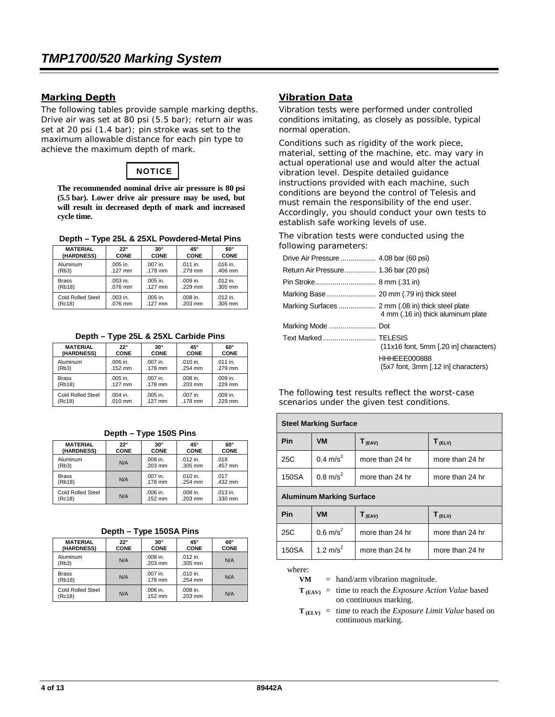#### **Marking Depth**

The following tables provide sample marking depths. Drive air was set at 80 psi (5.5 bar); return air was set at 20 psi (1.4 bar); pin stroke was set to the maximum allowable distance for each pin type to achieve the maximum depth of mark.

# **NOTICE**

**The recommended nominal drive air pressure is 80 psi (5.5 bar). Lower drive air pressure may be used, but will result in decreased depth of mark and increased cycle time.**

|  |  |  |  |  | Depth – Type 25L & 25XL Powdered-Metal Pins |  |
|--|--|--|--|--|---------------------------------------------|--|
|--|--|--|--|--|---------------------------------------------|--|

| <b>MATERIAL</b>   | $22^\circ$ | $30^\circ$ | 45°        | $60^\circ$ |
|-------------------|------------|------------|------------|------------|
| (HARDNESS)        | CONE       | CONE       | CONE       | CONE       |
| Aluminum          | $.005$ in. | $.007$ in. | $.011$ in. | $.016$ in. |
| (Rb3)             | .127 mm    | .178 mm    | .279 mm    | .406 mm    |
| <b>Brass</b>      | $.003$ in. | .005 in.   | .009 in.   | $.012$ in. |
| (Rb18)            | $.076$ mm  | $.127$ mm  | .229 mm    | .305 mm    |
| Cold Rolled Steel | .003 in.   | .005 in.   | .008 in.   | $.012$ in. |
| (Rc18)            | .076 mm    | $.127$ mm  | .203 mm    | .305 mm    |

|  |  | Depth - Type 25L & 25XL Carbide Pins |  |
|--|--|--------------------------------------|--|
|  |  |                                      |  |

| <b>MATERIAL</b>   | $22^\circ$  | $30^\circ$ | 45°         | 60°         |
|-------------------|-------------|------------|-------------|-------------|
| (HARDNESS)        | <b>CONE</b> | CONE       | <b>CONE</b> | <b>CONE</b> |
| Aluminum          | .006 in.    | $.007$ in. | $.010$ in.  | $.011$ in.  |
| (Rb3)             | $.152$ mm   | .178 mm    | .254 mm     | .279 mm     |
| <b>Brass</b>      | .005 in.    | $.007$ in. | $.008$ in.  | $.009$ in.  |
| (Rb18)            | $.127$ mm   | .178 mm    | $.203$ mm   | .229 mm     |
| Cold Rolled Steel | $.004$ in.  | $.005$ in. | .007 in.    | $.009$ in.  |
| (Rc18)            | $.010$ mm   | $.127$ mm  | .178 mm     | .229 mm     |

|                   |              | - -         |             |             |
|-------------------|--------------|-------------|-------------|-------------|
| <b>MATERIAL</b>   | $22^{\circ}$ | $30^\circ$  | 45°         | $60^\circ$  |
| (HARDNESS)        | <b>CONE</b>  | <b>CONE</b> | <b>CONE</b> | <b>CONE</b> |
| Aluminum          | N/A          | .008 in.    | $.012$ in.  | .018        |
| (Rb3)             |              | .203 mm     | .305 mm     | .457 mm     |
| <b>Brass</b>      | N/A          | $.007$ in.  | .010 in.    | .017        |
| (Rb18)            |              | .178 mm     | .254 mm     | .432 mm     |
| Cold Rolled Steel | N/A          | .006 in.    | .008 in.    | .013 in.    |
| (Rc18)            |              | .152 mm     | .203 mm     | .330 mm     |

#### **Depth – Type 150S Pins**

| <b>MATERIAL</b><br>(HARDNESS) | $22^{\circ}$<br><b>CONE</b> | $30^\circ$<br><b>CONE</b> | 45°<br><b>CONE</b>    | 60°<br><b>CONE</b> |
|-------------------------------|-----------------------------|---------------------------|-----------------------|--------------------|
| Aluminum<br>(Rb3)             | N/A                         | $.008$ in.<br>$.203$ mm   | $.012$ in.<br>.305 mm | N/A                |
| <b>Brass</b><br>(Rb18)        | N/A                         | $.007$ in.<br>$.178$ mm   | $.010$ in.<br>.254 mm | N/A                |
| Cold Rolled Steel<br>(Rc18)   | N/A                         | .006 in.<br>$.152$ mm     | .008 in.<br>.203 mm   | N/A                |

#### **Vibration Data**

Vibration tests were performed under controlled conditions imitating, as closely as possible, typical normal operation.

Conditions such as rigidity of the work piece, material, setting of the machine, etc. may vary in actual operational use and would alter the actual vibration level. Despite detailed guidance instructions provided with each machine, such conditions are beyond the control of Telesis and must remain the responsibility of the end user. Accordingly, you should conduct your own tests to establish safe working levels of use.

The vibration tests were conducted using the following parameters:

| Drive Air Pressure  4.08 bar (60 psi) |                                                     |
|---------------------------------------|-----------------------------------------------------|
| Return Air Pressure 1.36 bar (20 psi) |                                                     |
|                                       |                                                     |
|                                       |                                                     |
|                                       | 4 mm (.16 in) thick aluminum plate                  |
| Marking Mode  Dot                     |                                                     |
| Text Marked  TELESIS                  | $(11x16$ font, 5mm $[.20$ in] characters)           |
|                                       | HHHEEE000888<br>(5x7 font, 3mm [.12 in] characters) |

The following test results reflect the worst-case scenarios under the given test conditions.

| <b>Steel Marking Surface</b>    |                     |                 |                    |
|---------------------------------|---------------------|-----------------|--------------------|
| Pin                             | <b>VM</b>           | $T_{(EAV)}$     | $T_{(ELV)}$        |
| 25C                             | $0.4 \text{ m/s}^2$ | more than 24 hr | more than 24 hr    |
| 150SA                           | $0.8 \text{ m/s}^2$ | more than 24 hr | more than 24 hr    |
| <b>Aluminum Marking Surface</b> |                     |                 |                    |
| Pin                             | <b>VM</b>           | $\Gamma$ (EAV)  | T <sub>(ELV)</sub> |

|       |                      | .               | .               |
|-------|----------------------|-----------------|-----------------|
| 25C   | $0.6 \text{ m/s}^2$  | more than 24 hr | more than 24 hr |
| 150SA | 1.2 m/s <sup>2</sup> | more than 24 hr | more than 24 hr |

where:

**VM** = hand/arm vibration magnitude.

- $T_{\text{(FAV)}}$  = time to reach the *Exposure Action Value* based on continuous marking.
- $T_{(ELV)}$  = time to reach the *Exposure Limit Value* based on continuous marking.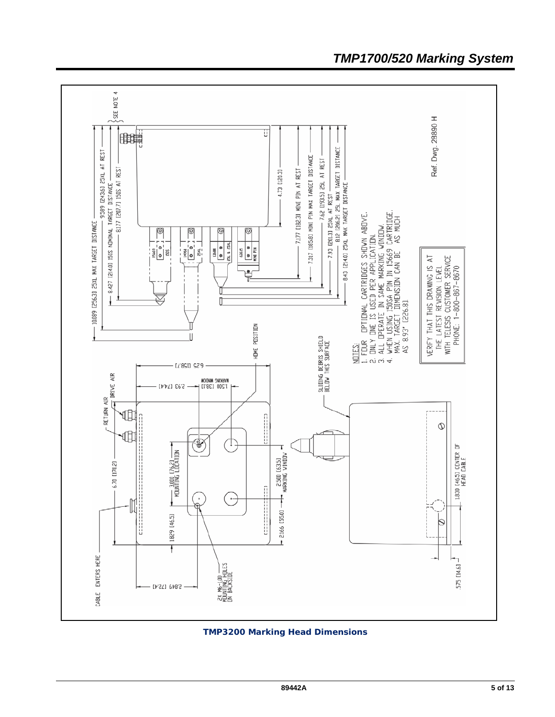

## *TMP1700/520 Marking System*

*TMP3200 Marking Head Dimensions*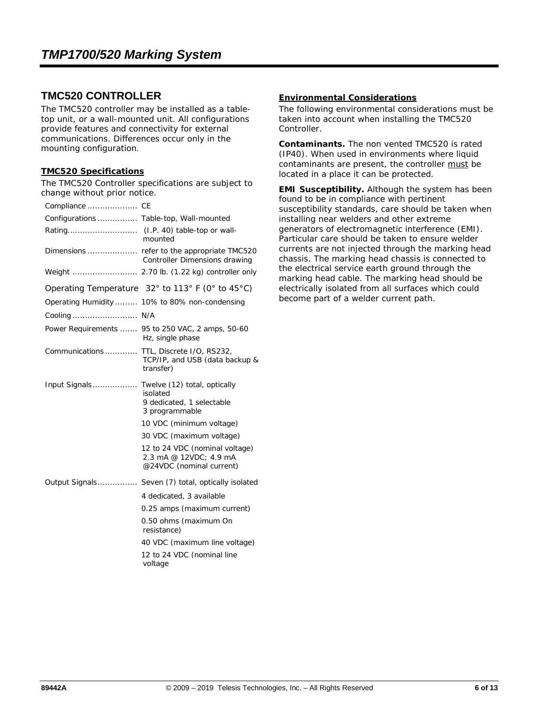### **TMC520 CONTROLLER**

The TMC520 controller may be installed as a tabletop unit, or a wall-mounted unit. All configurations provide features and connectivity for external communications. Differences occur only in the mounting configuration.

#### **TMC520 Specifications**

The TMC520 Controller specifications are subject to change without prior notice.

| Compliance  CE                          |                                                                                         |
|-----------------------------------------|-----------------------------------------------------------------------------------------|
| Configurations  Table-top, Wall-mounted |                                                                                         |
|                                         | mounted                                                                                 |
|                                         | Controller Dimensions drawing                                                           |
|                                         | Weight  2.70 lb. (1.22 kg) controller only                                              |
|                                         | Operating Temperature 32° to 113° F (0° to 45°C)                                        |
|                                         | Operating Humidity 10% to 80% non-condensing                                            |
| Cooling  N/A                            |                                                                                         |
|                                         | Power Requirements  95 to 250 VAC, 2 amps, 50-60<br>Hz, single phase                    |
| Communications                          | TTL, Discrete I/O, RS232,<br>TCP/IP, and USB (data backup &<br>transfer)                |
| Input Signals                           | Twelve (12) total, optically<br>isolated<br>9 dedicated, 1 selectable<br>3 programmable |
|                                         | 10 VDC (minimum voltage)                                                                |
|                                         | 30 VDC (maximum voltage)                                                                |
|                                         | 12 to 24 VDC (nominal voltage)<br>2.3 mA @ 12VDC: 4.9 mA<br>@24VDC (nominal current)    |
| Output Signals                          | Seven (7) total, optically isolated                                                     |
|                                         | 4 dedicated, 3 available                                                                |
|                                         | 0.25 amps (maximum current)                                                             |
|                                         | 0.50 ohms (maximum On<br>resistance)                                                    |
|                                         | 40 VDC (maximum line voltage)                                                           |
|                                         | 12 to 24 VDC (nominal line<br>voltage                                                   |

#### **Environmental Considerations**

The following environmental considerations must be taken into account when installing the TMC520 Controller.

**Contaminants.** The non vented TMC520 is rated (IP40). When used in environments where liquid contaminants are present, the controller must be located in a place it can be protected.

**EMI Susceptibility.** Although the system has been found to be in compliance with pertinent susceptibility standards, care should be taken when installing near welders and other extreme generators of electromagnetic interference (EMI). Particular care should be taken to ensure welder currents are not injected through the marking head chassis. The marking head chassis is connected to the electrical service earth ground through the marking head cable. The marking head should be electrically isolated from all surfaces which could become part of a welder current path.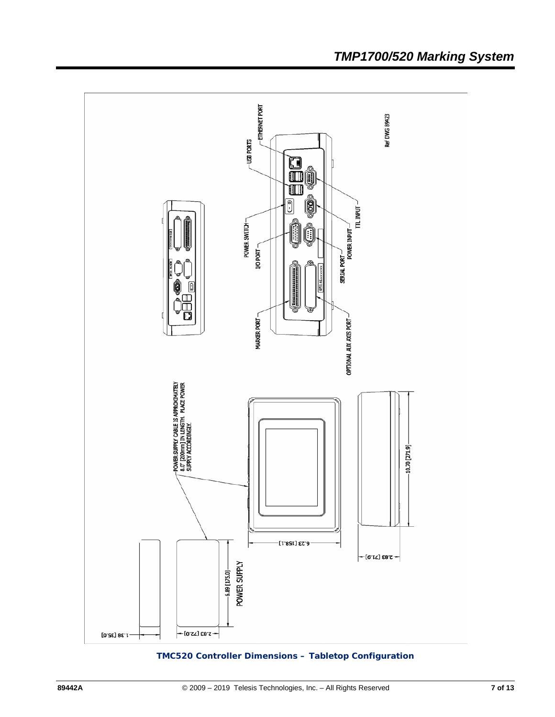

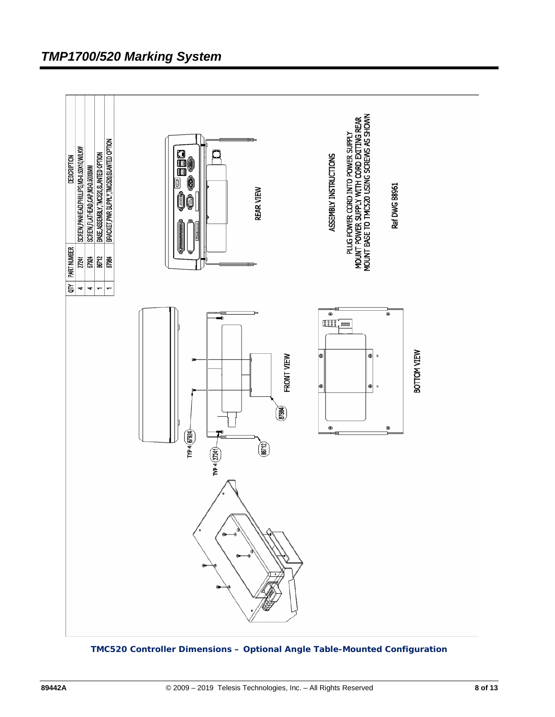

*TMC520 Controller Dimensions – Optional Angle Table-Mounted Configuration*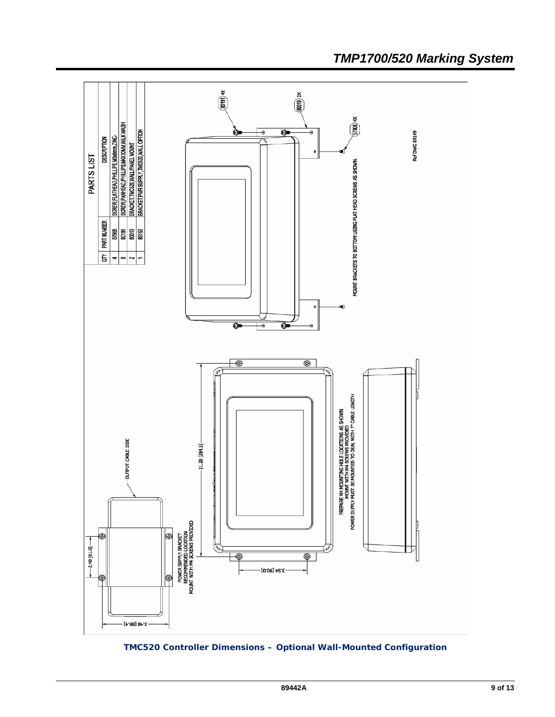

## *TMP1700/520 Marking System*

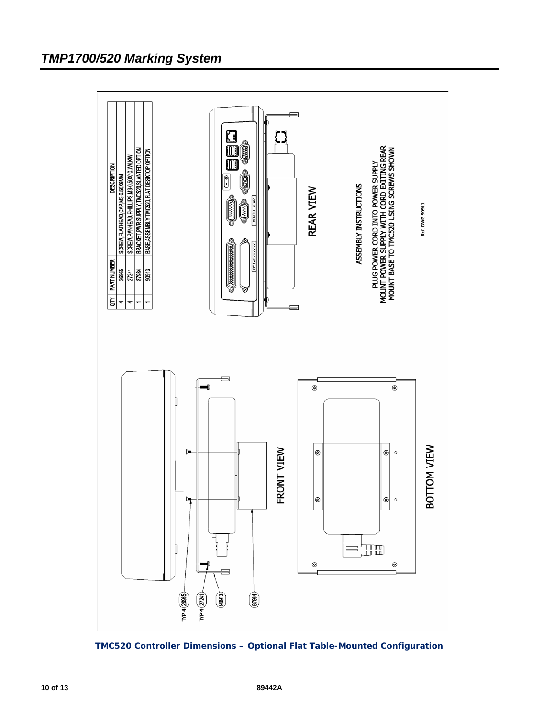

 *TMC520 Controller Dimensions – Optional Flat Table-Mounted Configuration*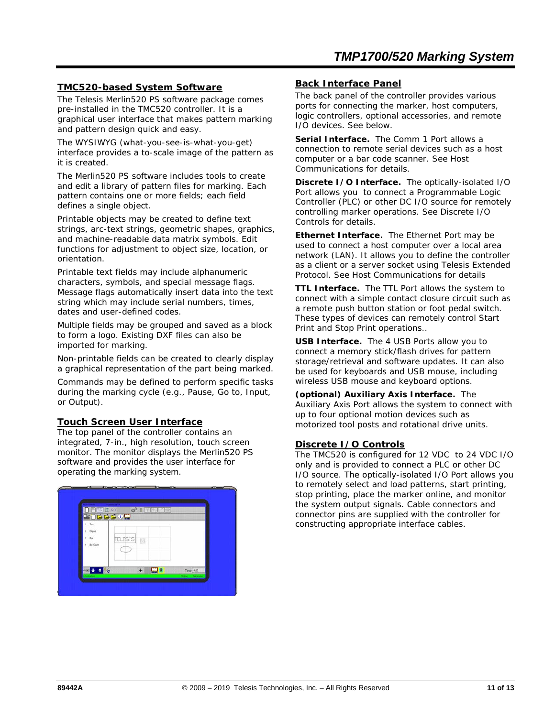#### **TMC520-based System Software**

The Telesis Merlin520 PS software package comes pre-installed in the TMC520 controller. It is a graphical user interface that makes pattern marking and pattern design quick and easy.

The WYSIWYG (what-you-see-is-what-you-get) interface provides a to-scale image of the pattern as it is created.

The Merlin520 PS software includes tools to create and edit a library of pattern files for marking. Each pattern contains one or more fields; each field defines a single object.

Printable objects may be created to define text strings, arc-text strings, geometric shapes, graphics, and machine-readable data matrix symbols. Edit functions for adjustment to object size, location, or orientation.

Printable text fields may include alphanumeric characters, symbols, and special message flags. Message flags automatically insert data into the text string which may include serial numbers, times, dates and user-defined codes.

Multiple fields may be grouped and saved as a block to form a logo. Existing DXF files can also be imported for marking.

Non-printable fields can be created to clearly display a graphical representation of the part being marked.

Commands may be defined to perform specific tasks during the marking cycle (e.g., Pause, Go to, Input, or Output).

#### **Touch Screen User Interface**

The top panel of the controller contains an integrated, 7-in., high resolution, touch screen monitor. The monitor displays the Merlin520 PS software and provides the user interface for operating the marking system.

|                   | <b>PIE EXY</b> | $2^{5}$ 1 $\vert \vert \vert \vert$ | $-100$       |                            |  |
|-------------------|----------------|-------------------------------------|--------------|----------------------------|--|
| Text              | <b>BOBBBOM</b> |                                     |              |                            |  |
| Elipse<br>ε       |                |                                     |              |                            |  |
| Box<br>4 Bar Code |                | <b>TELESIS</b><br>B                 |              |                            |  |
|                   |                |                                     |              |                            |  |
|                   |                |                                     |              |                            |  |
| <b>Redistrict</b> |                | $+$                                 | $\mathbb{Z}$ | Time $4.63$<br>$\sim$<br>w |  |

#### **Back Interface Panel**

The back panel of the controller provides various ports for connecting the marker, host computers, logic controllers, optional accessories, and remote I/O devices. See below.

**Serial Interface.** The Comm 1 Port allows a connection to remote serial devices such as a host computer or a bar code scanner. See *Host Communications* for details.

**Discrete I/O Interface.** The optically-isolated I/O Port allows you to connect a Programmable Logic Controller (PLC) or other DC I/O source for remotely controlling marker operations. See *Discrete I/O Controls* for details.

**Ethernet Interface.** The Ethernet Port may be used to connect a host computer over a local area network (LAN). It allows you to define the controller as a client or a server socket using Telesis Extended Protocol. See *Host Communications* for details

**TTL Interface.** The TTL Port allows the system to connect with a simple contact closure circuit such as a remote push button station or foot pedal switch. These types of devices can remotely control Start Print and Stop Print operations..

**USB Interface.** The 4 USB Ports allow you to connect a memory stick/flash drives for pattern storage/retrieval and software updates. It can also be used for keyboards and USB mouse, including wireless USB mouse and keyboard options.

**(optional) Auxiliary Axis Interface.** The Auxiliary Axis Port allows the system to connect with up to four optional motion devices such as motorized tool posts and rotational drive units.

#### **Discrete I/O Controls**

The TMC520 is configured for 12 VDC to 24 VDC I/O only and is provided to connect a PLC or other DC I/O source. The optically-isolated I/O Port allows you to remotely select and load patterns, start printing, stop printing, place the marker online, and monitor the system output signals. Cable connectors and connector pins are supplied with the controller for constructing appropriate interface cables.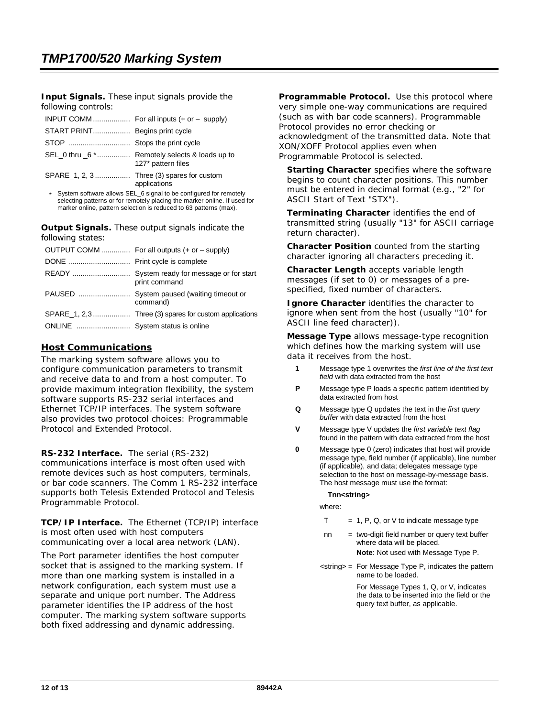**Input Signals.** These input signals provide the following controls:

|                                | INPUT COMM For all inputs $(+ or - supply)$                         |
|--------------------------------|---------------------------------------------------------------------|
| START PRINT Begins print cycle |                                                                     |
|                                |                                                                     |
|                                | SEL 0 thru 6 * Remotely selects & loads up to<br>127* pattern files |
|                                | SPARE 1, 2, 3 Three (3) spares for custom<br>applications           |

\* System software allows SEL\_6 signal to be configured for remotely selecting patterns or for remotely placing the marker online. If used for marker online, pattern selection is reduced to 63 patterns (max).

**Output Signals.** These output signals indicate the following states:

|                                 | OUTPUT COMM  For all outputs (+ or - supply) |
|---------------------------------|----------------------------------------------|
|                                 |                                              |
|                                 | print command                                |
|                                 | command)                                     |
|                                 |                                              |
| ONLINE  System status is online |                                              |

#### **Host Communications**

The marking system software allows you to configure communication parameters to transmit and receive data to and from a host computer. To provide maximum integration flexibility, the system software supports RS-232 serial interfaces and Ethernet TCP/IP interfaces. The system software also provides two protocol choices: Programmable Protocol and Extended Protocol.

**RS-232 Interface.** The serial (RS-232) communications interface is most often used with remote devices such as host computers, terminals, or bar code scanners. The Comm 1 RS-232 interface supports both Telesis Extended Protocol and Telesis Programmable Protocol.

**TCP/IP Interface.** The Ethernet (TCP/IP) interface is most often used with host computers communicating over a local area network (LAN).

The Port parameter identifies the host computer socket that is assigned to the marking system. If more than one marking system is installed in a network configuration, each system must use a separate and unique port number. The Address parameter identifies the IP address of the host computer. The marking system software supports both fixed addressing and dynamic addressing.

**Programmable Protocol.** Use this protocol where very simple one-way communications are required (such as with bar code scanners). Programmable Protocol provides no error checking or acknowledgment of the transmitted data. Note that XON/XOFF Protocol applies even when Programmable Protocol is selected.

**Starting Character** specifies where the software begins to count character positions. This number must be entered in decimal format (e.g., "2" for ASCII Start of Text "STX").

**Terminating Character** identifies the end of transmitted string (usually "13" for ASCII carriage return character).

**Character Position** counted from the starting character ignoring all characters preceding it.

**Character Length** accepts variable length messages (if set to 0) or messages of a prespecified, fixed number of characters.

**Ignore Character** identifies the character to ignore when sent from the host (usually "10" for ASCII line feed character)).

**Message Type** allows message-type recognition which defines how the marking system will use data it receives from the host.

- **1** Message type 1 overwrites the *first line of the first text field* with data extracted from the host
- **P** Message type P loads a specific pattern identified by data extracted from host
- **Q** Message type Q updates the text in the *first query buffer* with data extracted from the host
- **V** Message type V updates the *first variable text flag* found in the pattern with data extracted from the host
- **0** Message type 0 (zero) indicates that host will provide message type, field number (if applicable), line number (if applicable), and data; delegates message type selection to the host on message-by-message basis. The host message must use the format:

**Tnn<string>** 

where:

- $T = 1$ , P, Q, or V to indicate message type
- $nn = two-digit field number or query text buffer$ where data will be placed.

**Note**: Not used with Message Type P.

<string> = For Message Type P, indicates the pattern name to be loaded.

> For Message Types 1, Q, or V, indicates the data to be inserted into the field or the query text buffer, as applicable.